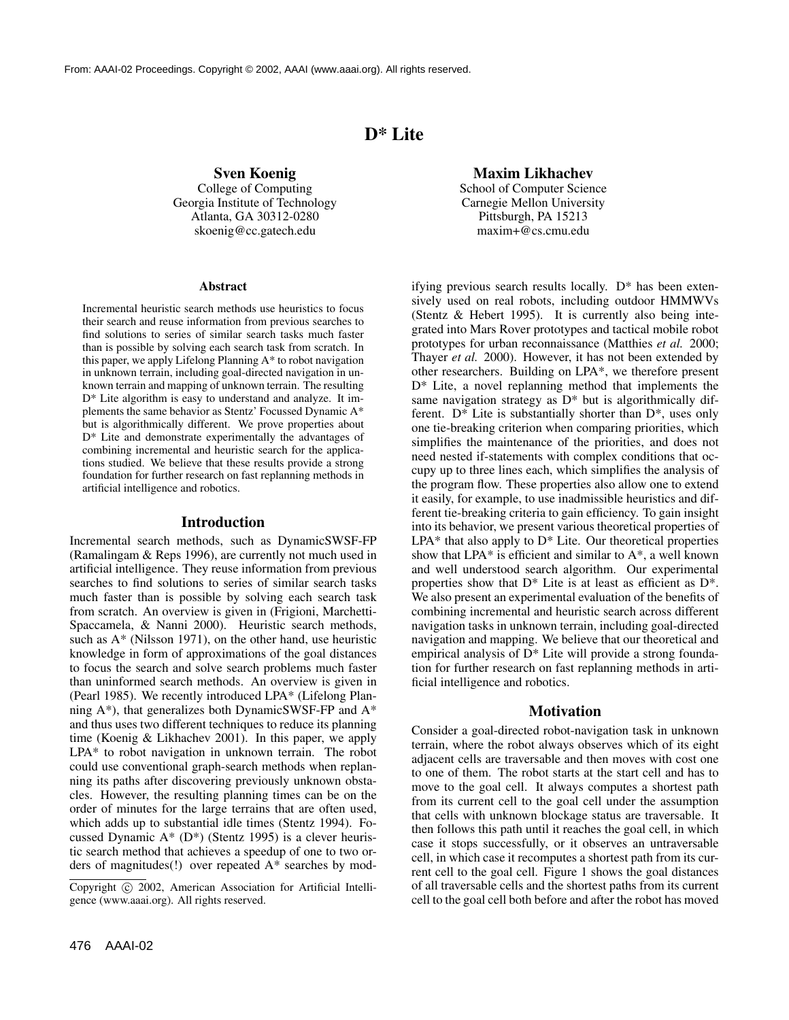# **D\* Lite**

**Sven Koenig** College of Computing Georgia Institute of Technology Atlanta, GA 30312-0280 skoenig@cc.gatech.edu

#### **Abstract**

Incremental heuristic search methods use heuristics to focus their search and reuse information from previous searches to find solutions to series of similar search tasks much faster than is possible by solving each search task from scratch. In this paper, we apply Lifelong Planning A\* to robot navigation in unknown terrain, including goal-directed navigation in unknown terrain and mapping of unknown terrain. The resulting D\* Lite algorithm is easy to understand and analyze. It implements the same behavior as Stentz' Focussed Dynamic A\* but is algorithmically different. We prove properties about D\* Lite and demonstrate experimentally the advantages of combining incremental and heuristic search for the applications studied. We believe that these results provide a strong foundation for further research on fast replanning methods in artificial intelligence and robotics.

#### **Introduction**

Incremental search methods, such as DynamicSWSF-FP (Ramalingam & Reps 1996), are currently not much used in artificial intelligence. They reuse information from previous searches to find solutions to series of similar search tasks much faster than is possible by solving each search task from scratch. An overview is given in (Frigioni, Marchetti-Spaccamela, & Nanni 2000). Heuristic search methods, such as A\* (Nilsson 1971), on the other hand, use heuristic knowledge in form of approximations of the goal distances to focus the search and solve search problems much faster than uninformed search methods. An overview is given in (Pearl 1985). We recently introduced LPA\* (Lifelong Planning A\*), that generalizes both DynamicSWSF-FP and A\* and thus uses two different techniques to reduce its planning time (Koenig & Likhachev 2001). In this paper, we apply LPA\* to robot navigation in unknown terrain. The robot could use conventional graph-search methods when replanning its paths after discovering previously unknown obstacles. However, the resulting planning times can be on the order of minutes for the large terrains that are often used, which adds up to substantial idle times (Stentz 1994). Focussed Dynamic A\* (D\*) (Stentz 1995) is a clever heuristic search method that achieves a speedup of one to two orders of magnitudes(!) over repeated A\* searches by mod-

476 AAAI-02

**Maxim Likhachev** School of Computer Science Carnegie Mellon University Pittsburgh, PA 15213 maxim+@cs.cmu.edu

ifying previous search results locally. D\* has been extensively used on real robots, including outdoor HMMWVs (Stentz & Hebert 1995). It is currently also being integrated into Mars Rover prototypes and tactical mobile robot prototypes for urban reconnaissance (Matthies *et al.* 2000; Thayer *et al.* 2000). However, it has not been extended by other researchers. Building on LPA\*, we therefore present D\* Lite, a novel replanning method that implements the same navigation strategy as  $D^*$  but is algorithmically different.  $D^*$  Lite is substantially shorter than  $D^*$ , uses only one tie-breaking criterion when comparing priorities, which simplifies the maintenance of the priorities, and does not need nested if-statements with complex conditions that occupy up to three lines each, which simplifies the analysis of the program flow. These properties also allow one to extend it easily, for example, to use inadmissible heuristics and different tie-breaking criteria to gain efficiency. To gain insight into its behavior, we present various theoretical properties of  $LPA*$  that also apply to  $D*$  Lite. Our theoretical properties show that LPA $*$  is efficient and similar to  $A*$ , a well known and well understood search algorithm. Our experimental properties show that  $D^*$  Lite is at least as efficient as  $D^*$ . We also present an experimental evaluation of the benefits of combining incremental and heuristic search across different navigation tasks in unknown terrain, including goal-directed navigation and mapping. We believe that our theoretical and empirical analysis of D\* Lite will provide a strong foundation for further research on fast replanning methods in artificial intelligence and robotics.

## **Motivation**

Consider a goal-directed robot-navigation task in unknown terrain, where the robot always observes which of its eight adjacent cells are traversable and then moves with cost one to one of them. The robot starts at the start cell and has to move to the goal cell. It always computes a shortest path from its current cell to the goal cell under the assumption that cells with unknown blockage status are traversable. It then follows this path until it reaches the goal cell, in which case it stops successfully, or it observes an untraversable cell, in which case it recomputes a shortest path from its current cell to the goal cell. Figure 1 shows the goal distances of all traversable cells and the shortest paths from its current cell to the goal cell both before and after the robot has moved

Copyright @ 2002, American Association for Artificial Intelligence (www.aaai.org). All rights reserved.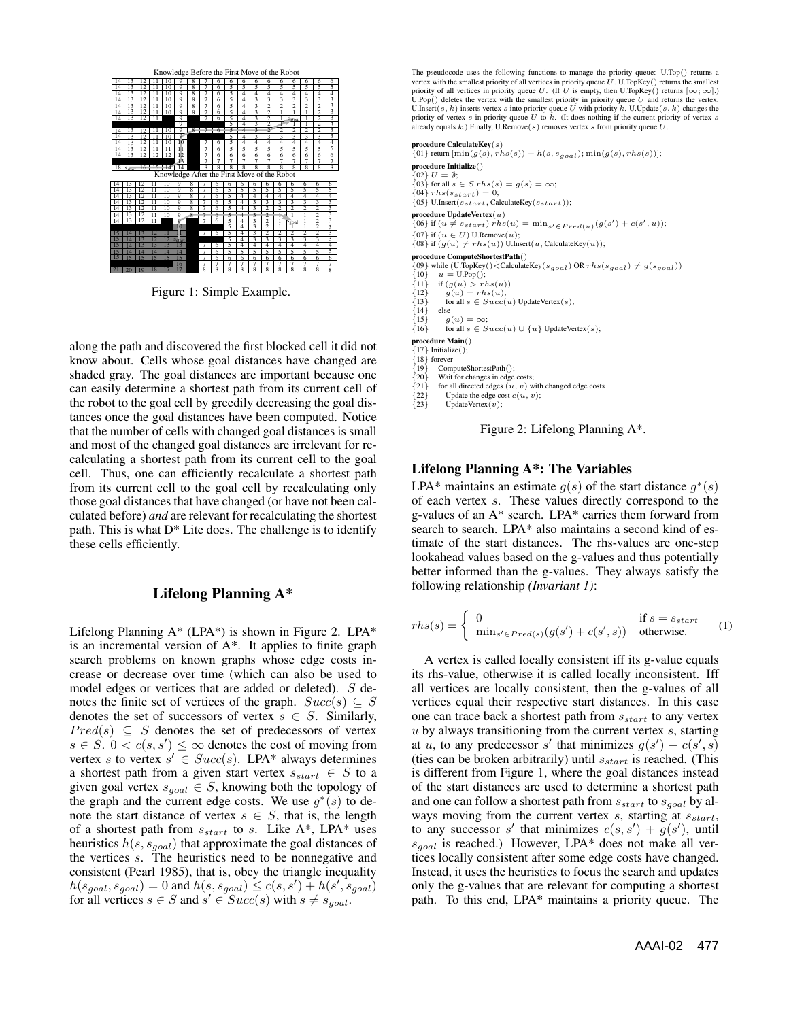

Figure 1: Simple Example.

along the path and discovered the first blocked cell it did not know about. Cells whose goal distances have changed are shaded gray. The goal distances are important because one can easily determine a shortest path from its current cell of the robot to the goal cell by greedily decreasing the goal distances once the goal distances have been computed. Notice that the number of cells with changed goal distances is small and most of the changed goal distances are irrelevant for recalculating a shortest path from its current cell to the goal cell. Thus, one can efficiently recalculate a shortest path from its current cell to the goal cell by recalculating only those goal distances that have changed (or have not been calculated before) *and* are relevant for recalculating the shortest path. This is what  $D^*$  Lite does. The challenge is to identify these cells efficiently.

## **Lifelong Planning A\***

Lifelong Planning  $A^*$  (LPA $^*$ ) is shown in Figure 2. LPA $^*$ is an incremental version of  $A^*$ . It applies to finite graph search problems on known graphs whose edge costs increase or decrease over time (which can also be used to model edges or vertices that are added or deleted). *S* denotes the finite set of vertices of the graph.  $Succ(s) \subseteq S$ denotes the set of successors of vertex  $s \in S$ . Similarly,  $Pred(s) \subseteq S$  denotes the set of predecessors of vertex  $s \in S$ .  $0 < c(s, s') \leq \infty$  denotes the cost of moving from vertex *s* to vertex  $s' \in Succ(s)$ . LPA\* always determines a shortest path from a given start vertex  $s_{start} \in S$  to a given goal vertex  $s_{goal} \in S$ , knowing both the topology of the graph and the current edge costs. We use  $g^*(s)$  to denote the start distance of vertex  $s \in S$ , that is, the length of a shortest path from *sstart* to *s*. Like A\*, LPA\* uses heuristics *h*(*s, sgoal*) that approximate the goal distances of the vertices *s*. The heuristics need to be nonnegative and consistent (Pearl 1985), that is, obey the triangle inequality  $h(s_{goal}, s_{goal}) = 0$  and  $h(s, s_{goal}) \le c(s, s') + h(s', s_{goal})$ for all vertices  $s \in S$  and  $s' \in Succ(s)$  with  $s \neq s_{goal}$ .

The pseudocode uses the following functions to manage the priority queue:  $U$ .  $U$ Top $()$  returns a vertex with the smallest priority of all vertices in priority queue  $U$ .  $U$ . Top $Key()$  returns the smallest vertex with the smallest priority of all vertices in priority queue U. U.TopKey() returns the smallest<br>priority of all vertices in priority queue U. (If U is empty, then U.TopKey() returns [ $\infty$ ;  $\infty$ ].)<br>U.Pop() deletes priority of vertex *s* in priority queue *U* to *k*. (It does nothing if the current priority of vertex *s* already equals *<sup>k</sup>*.) Finally, U.Remove(*s*) removes vertex *<sup>s</sup>* from priority queue *<sup>U</sup>*.

**procedure CalculateKey**(*s*) {01} return [min(*g*(*s*)*, rhs*(*s*)) + *<sup>h</sup>*(*s, sgoal*); min(*g*(*s*)*, rhs*(*s*))];

**procedure Initialize**()  $\{02\}$   $II = \emptyset$ {02}  $U = \emptyset$ ;<br>{03} for all  $s \in S$  r h  $s(s) = g(s) = \infty$ ;<br>{04} r h  $s(s, \ldots) = 0$ ;  ${04}$ *rhs*( $s_{start}$ ) = 0; {05} U.Insert(*sstart,* CalculateKey(*sstart*)); **procedure UpdateVertex**(*u*)  ${0}$ {06} if  $(u \neq s_{start})$  *rhs* $(u) = \min_{s' \in Pred(u)}(g(s') + c(s', u));$ <br>{07} if  $(u \in U)$  U.Remove $(u)$ ; {07} if  $(u \in U)$  U.Remove $(u)$ ;<br>{08} if  $(g(u) \neq rhs(u))$  U.Insert $(u, \text{CalculateKey}(u))$ ;

**procedure ComputeShortestPath**()  ${0}$  while (U.TopKey() $\leq$ CalculateKey( $s_{goal}$ ) OR  $rhs(s_{goal}) \neq g(s_{goal})$ )<br>{10}  $u = \text{UPop}()$ ;

- {10}  $u = \text{UPop}()$ ;<br>{12} if  $(g(u) > rhs(u)$ ;<br>{12}  $g(u) = rhs(u)$ ;<br>{13} for all  $s \in Succ(u)$  UpdateVertex(*s*);<br> $f141$  else
- $\begin{array}{cc} \{14\} & \text{else} \\ \{15\} & g \end{array}$
- {15}  $g(u) = \infty;$ <br>{16} for all  $s \in S$
- {16} for all  $s \in Succ(u) \cup \{u\}$  UpdateVertex(*s*);<br>procedure Main()

**procedure Main**()<br>{17} Initialize();<br>*1*18} forever

- 
- ${18}$  forever<br>{19} ComputeShortestPath(); {19} ComputeShortestPath(); {20} Wait for changes in edge costs;
- 
- {21} for all directed edges  $(u, v)$  with changed edge costs {22} Update the edge cost  $c(u, v)$ :
- {22} Update the edge cost  $c(u, v)$ ;<br>{23} UpdateVertex(*v*); UpdateVertex(*v*);

Figure 2: Lifelong Planning A\*.

## **Lifelong Planning A\*: The Variables**

LPA<sup>\*</sup> maintains an estimate  $q(s)$  of the start distance  $q^*(s)$ of each vertex *s*. These values directly correspond to the g-values of an A\* search. LPA\* carries them forward from search to search. LPA\* also maintains a second kind of estimate of the start distances. The rhs-values are one-step lookahead values based on the g-values and thus potentially better informed than the g-values. They always satisfy the following relationship *(Invariant 1)*:

$$
rhs(s) = \begin{cases} 0 & \text{if } s = s_{start} \\ \min_{s' \in Pred(s)} (g(s') + c(s', s)) & \text{otherwise.} \end{cases}
$$
 (1)

A vertex is called locally consistent iff its g-value equals its rhs-value, otherwise it is called locally inconsistent. Iff all vertices are locally consistent, then the g-values of all vertices equal their respective start distances. In this case one can trace back a shortest path from *sstart* to any vertex *u* by always transitioning from the current vertex *s*, starting at *u*, to any predecessor *s'* that minimizes  $g(s') + c(s', s)$ (ties can be broken arbitrarily) until *sstart* is reached. (This is different from Figure 1, where the goal distances instead of the start distances are used to determine a shortest path and one can follow a shortest path from *sstart* to *sgoal* by always moving from the current vertex *s*, starting at *sstart*, to any successor *s'* that minimizes  $c(s, s') + g(s')$ , until *sgoal* is reached.) However, LPA\* does not make all vertices locally consistent after some edge costs have changed. Instead, it uses the heuristics to focus the search and updates only the g-values that are relevant for computing a shortest path. To this end, LPA\* maintains a priority queue. The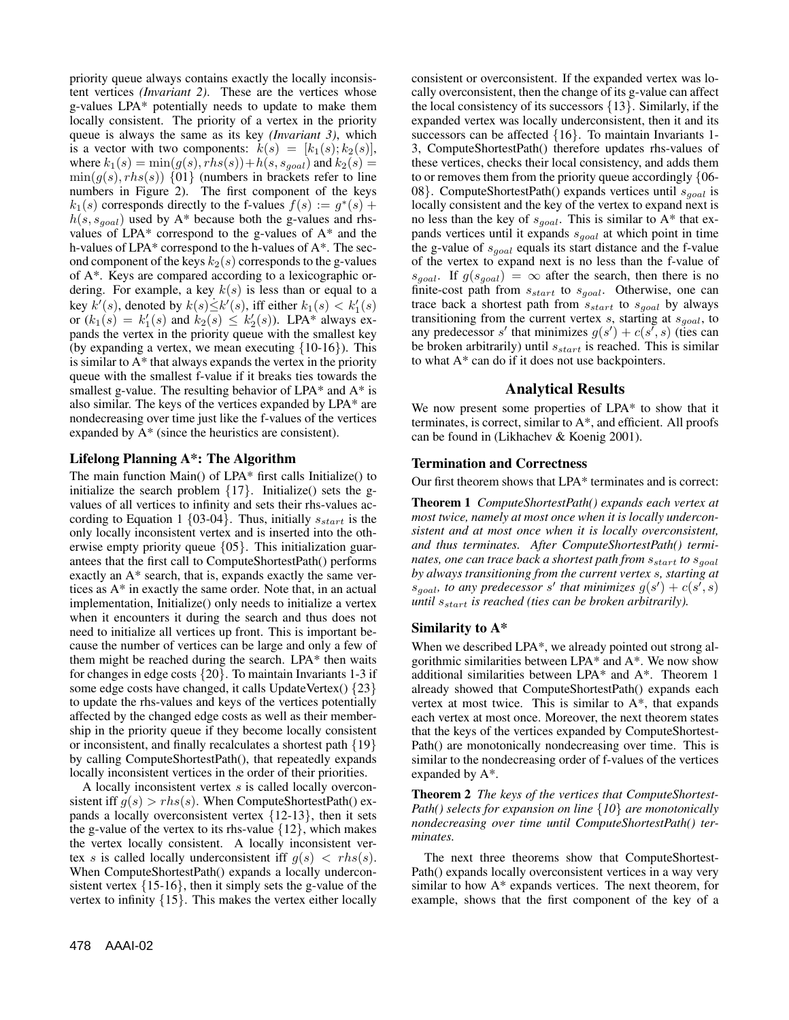priority queue always contains exactly the locally inconsistent vertices *(Invariant 2)*. These are the vertices whose g-values LPA\* potentially needs to update to make them locally consistent. The priority of a vertex in the priority queue is always the same as its key *(Invariant 3)*, which is a vector with two components:  $k(s) = [k_1(s); k_2(s)],$ where  $k_1(s) = \min(g(s), r h s(s)) + h(s, s_{goal})$  and  $k_2(s) =$  $\min(g(s), \text{rhs}(s))$  {01} (numbers in brackets refer to line numbers in Figure 2). The first component of the keys  $k_1(s)$  corresponds directly to the f-values  $f(s) := g^*(s) +$  $h(s, s_{goal})$  used by A\* because both the g-values and rhsvalues of LPA $*$  correspond to the g-values of  $A*$  and the h-values of LPA\* correspond to the h-values of A\*. The second component of the keys  $k_2(s)$  corresponds to the g-values of A\*. Keys are compared according to a lexicographic ordering. For example, a key *k*(*s*) is less than or equal to a  $k$ ey  $k'(s)$ , denoted by  $k(s) \leq k'(s)$ , iff either  $k_1(s) < k'_1(s)$ or  $(k_1(s) = k'_1(s)$  and  $k_2(s) \le k'_2(s)$ ). LPA\* always expands the vertex in the priority queue with the smallest key (by expanding a vertex, we mean executing  $\{10-16\}$ ). This is similar to A\* that always expands the vertex in the priority queue with the smallest f-value if it breaks ties towards the smallest g-value. The resulting behavior of  $LPA*$  and  $A*$  is also similar. The keys of the vertices expanded by LPA\* are nondecreasing over time just like the f-values of the vertices expanded by A\* (since the heuristics are consistent).

## **Lifelong Planning A\*: The Algorithm**

The main function Main() of LPA\* first calls Initialize() to initialize the search problem  $\{17\}$ . Initialize() sets the gvalues of all vertices to infinity and sets their rhs-values according to Equation 1 {03-04}. Thus, initially *sstart* is the only locally inconsistent vertex and is inserted into the otherwise empty priority queue {05}. This initialization guarantees that the first call to ComputeShortestPath() performs exactly an A\* search, that is, expands exactly the same vertices as A\* in exactly the same order. Note that, in an actual implementation, Initialize() only needs to initialize a vertex when it encounters it during the search and thus does not need to initialize all vertices up front. This is important because the number of vertices can be large and only a few of them might be reached during the search. LPA\* then waits for changes in edge costs  $\{20\}$ . To maintain Invariants 1-3 if some edge costs have changed, it calls UpdateVertex()  $\{23\}$ to update the rhs-values and keys of the vertices potentially affected by the changed edge costs as well as their membership in the priority queue if they become locally consistent or inconsistent, and finally recalculates a shortest path {19} by calling ComputeShortestPath(), that repeatedly expands locally inconsistent vertices in the order of their priorities.

A locally inconsistent vertex *s* is called locally overconsistent iff  $g(s) > r h s(s)$ . When ComputeShortestPath() expands a locally overconsistent vertex  $\{12-13\}$ , then it sets the g-value of the vertex to its rhs-value  $\{12\}$ , which makes the vertex locally consistent. A locally inconsistent vertex *s* is called locally underconsistent iff  $g(s) < r \, h s(s)$ . When ComputeShortestPath() expands a locally underconsistent vertex  $\{15-16\}$ , then it simply sets the g-value of the vertex to infinity {15}. This makes the vertex either locally

consistent or overconsistent. If the expanded vertex was locally overconsistent, then the change of its g-value can affect the local consistency of its successors {13}. Similarly, if the expanded vertex was locally underconsistent, then it and its successors can be affected  $\{16\}$ . To maintain Invariants 1-3, ComputeShortestPath() therefore updates rhs-values of these vertices, checks their local consistency, and adds them to or removes them from the priority queue accordingly {06- 08}. ComputeShortestPath() expands vertices until *sgoal* is locally consistent and the key of the vertex to expand next is no less than the key of *sgoal*. This is similar to A\* that expands vertices until it expands *sgoal* at which point in time the g-value of *sgoal* equals its start distance and the f-value of the vertex to expand next is no less than the f-value of  $s_{goal}$ . If  $g(s_{goal}) = \infty$  after the search, then there is no finite-cost path from *sstart* to *sgoal*. Otherwise, one can trace back a shortest path from *sstart* to *sgoal* by always transitioning from the current vertex *s*, starting at *sgoal*, to any predecessor *s'* that minimizes  $g(s') + c(s', s)$  (ties can be broken arbitrarily) until *sstart* is reached. This is similar to what A\* can do if it does not use backpointers.

## **Analytical Results**

We now present some properties of LPA\* to show that it terminates, is correct, similar to A\*, and efficient. All proofs can be found in (Likhachev & Koenig 2001).

## **Termination and Correctness**

Our first theorem shows that LPA\* terminates and is correct:

**Theorem 1** *ComputeShortestPath() expands each vertex at most twice, namely at most once when it is locally underconsistent and at most once when it is locally overconsistent, and thus terminates. After ComputeShortestPath() terminates, one can trace back a shortest path from sstart to sgoal by always transitioning from the current vertex s, starting at*  $s_{goal}$ *, to any predecessor s' that minimizes*  $g(s') + c(s', s)$ *until sstart is reached (ties can be broken arbitrarily).*

## **Similarity to A\***

When we described LPA\*, we already pointed out strong algorithmic similarities between LPA\* and A\*. We now show additional similarities between LPA\* and A\*. Theorem 1 already showed that ComputeShortestPath() expands each vertex at most twice. This is similar to A\*, that expands each vertex at most once. Moreover, the next theorem states that the keys of the vertices expanded by ComputeShortest-Path() are monotonically nondecreasing over time. This is similar to the nondecreasing order of f-values of the vertices expanded by A\*.

**Theorem 2** *The keys of the vertices that ComputeShortest-Path() selects for expansion on line* {*10*} *are monotonically nondecreasing over time until ComputeShortestPath() terminates.*

The next three theorems show that ComputeShortest-Path() expands locally overconsistent vertices in a way very similar to how A\* expands vertices. The next theorem, for example, shows that the first component of the key of a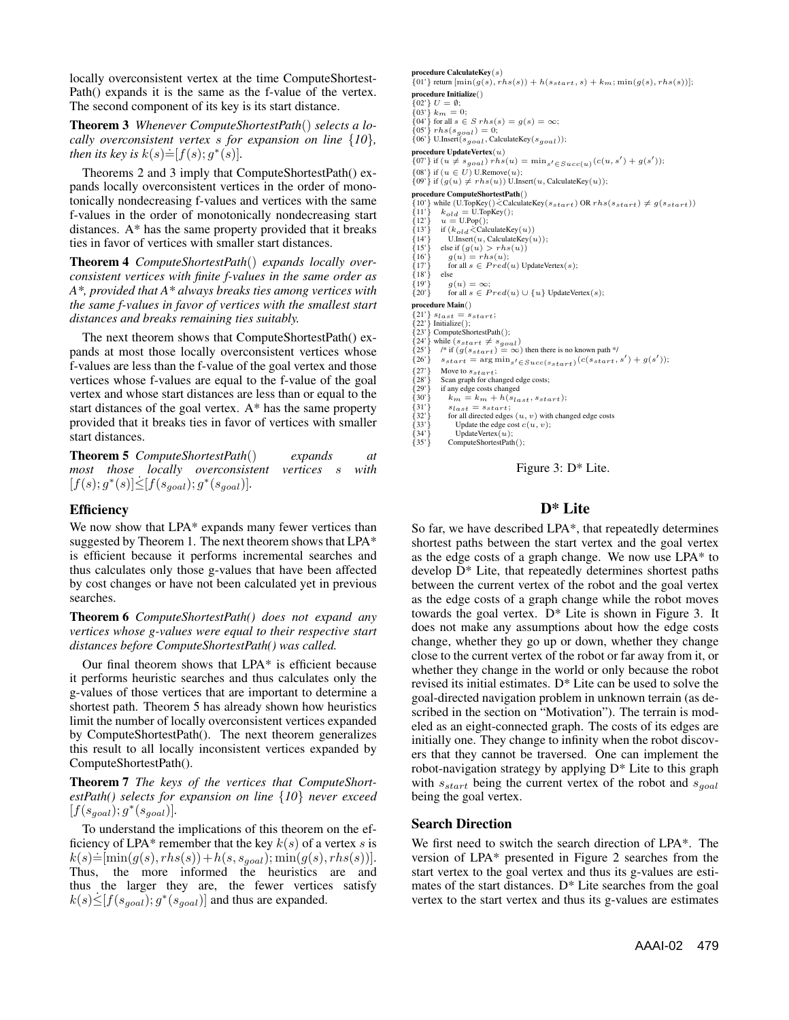locally overconsistent vertex at the time ComputeShortest-Path() expands it is the same as the f-value of the vertex. The second component of its key is its start distance.

**Theorem 3** *Whenever ComputeShortestPath*() *selects a locally overconsistent vertex s for expansion on line* {*10*}*, then its key is*  $k(s) = [f(s); g^*(s)]$ .

Theorems 2 and 3 imply that ComputeShortestPath() expands locally overconsistent vertices in the order of monotonically nondecreasing f-values and vertices with the same f-values in the order of monotonically nondecreasing start distances. A\* has the same property provided that it breaks ties in favor of vertices with smaller start distances.

**Theorem 4** *ComputeShortestPath*() *expands locally overconsistent vertices with finite f-values in the same order as A\*, provided that A\* always breaks ties among vertices with the same f-values in favor of vertices with the smallest start distances and breaks remaining ties suitably.*

The next theorem shows that ComputeShortestPath() expands at most those locally overconsistent vertices whose f-values are less than the f-value of the goal vertex and those vertices whose f-values are equal to the f-value of the goal vertex and whose start distances are less than or equal to the start distances of the goal vertex. A\* has the same property provided that it breaks ties in favor of vertices with smaller start distances.

| <b>Theorem 5</b> ComputeShortestPath() |  |  |                                                     | expands |  | at |
|----------------------------------------|--|--|-----------------------------------------------------|---------|--|----|
|                                        |  |  | most those locally overconsistent vertices s with   |         |  |    |
|                                        |  |  | $[f(s); g^*(s)] \leq [f(s_{goal}); g^*(s_{goal})].$ |         |  |    |

### **Efficiency**

We now show that LPA\* expands many fewer vertices than suggested by Theorem 1. The next theorem shows that LPA\* is efficient because it performs incremental searches and thus calculates only those g-values that have been affected by cost changes or have not been calculated yet in previous searches.

**Theorem 6** *ComputeShortestPath() does not expand any vertices whose g-values were equal to their respective start distances before ComputeShortestPath() was called.*

Our final theorem shows that LPA\* is efficient because it performs heuristic searches and thus calculates only the g-values of those vertices that are important to determine a shortest path. Theorem 5 has already shown how heuristics limit the number of locally overconsistent vertices expanded by ComputeShortestPath(). The next theorem generalizes this result to all locally inconsistent vertices expanded by ComputeShortestPath().

**Theorem 7** *The keys of the vertices that ComputeShortestPath() selects for expansion on line* {*10*} *never exceed*  $[f(s_{goal}); g^*(s_{goal})]$ .

To understand the implications of this theorem on the efficiency of LPA\* remember that the key  $k(s)$  of a vertex *s* is  $k(s) \doteq [min(g(s), rhs(s)) + h(s, s_{goal}); min(g(s), rhs(s))].$ Thus, the more informed the heuristics are and thus the larger they are, the fewer vertices satisfy  $k(s) \leq [f(s_{goal}); g^*(s_{goal})]$  and thus are expanded.

**procedure CalculateKey**(*s*)<br>
{01'} return  $[\min(g(s), \text{rhs}(s)) + h(s_{start}, s) + k_m; \min(g(s), \text{rhs}(s))]$ ; **procedure Initialize**()<br>{02'}  $U = \emptyset$ ;

 ${02'}$   $U = \emptyset;$ <br> ${03'}$   $k_m = 0;$ <br> ${04'}$  for all  $\varepsilon \in$ 

 $\{04\}$  for all  $s \in S$   $rhs(s) = g(s) = \infty$ ;

{05'}  $rhs(s_{goal}) = 0;$ <br>{06'} U.Insert( $s_{goal}$ , CalculateKey( $s_{goal}$ ));

**procedure UpdateVertex**(*u*)

 $\{07\}$  if  $(u \neq s_{goal})$   $rhs(u) = \min_{s' \in Succ(u)}(c(u, s') + g(s'));$ 

{08'} if  $(u \in U)$  U.Remove $(u)$ ;<br>{09'} if  $(g(u) \neq rhs(u))$  U.Insert $(u,$  CalculateKey $(u)$ );

**procedure ComputeShortestPath**()

 ${10'}$ } while (U.TopKey() $\leq$ CalculateKey( $s_{start}$ ) OR  $rhs(s_{start}) \neq g(s_{start})$ )<br> ${11'}$ }  $k_{old} =$  U.TopKey():

- 
- {11'}  $k_{old} = \text{U}.\text{TopKey}();$ <br>{12'}  $u = \text{U}.\text{Pop}();$ <br> $f_13'$ } if  $(k, \cdot, \cdot)$  calculate Ke
- {13'} if  $(k_{old} \leq \text{CalculateKey}(u))$ <br>{14'} U.Insert(*u*, CalculateKey(*u*));<br>{15'} else if  $(a(u) \geq$  rbs(*u*))
- {15'} else if  $(g(u) > r h s(u))$ <br>{16'}  $g(u) = r h s(u)$ ;
- {16'}  $g(u) = rhs(u);$ <br>{17'} for all  $s \in Pred(u)$  UpdateVertex(*s*);<br>{18'} else
- 
- $\{18\}$  else<br>{19'} a(
- ${19'}$   $g(u) = \infty;$ <br>  ${20'}$  for all  $s \in P$ for all  $s \in Pred(u) \cup \{u\}$  UpdateVertex(*s*);

**procedure Main**()

 ${21'}$  *s* $_{last}$  = *s* $_{start}$ ;<br> ${22'}$  Initialize();

- {22'} Initialize();<br>{23'} ComputeShortestPath();<br> $\begin{cases} 2a' \text{ while } (s, t) \neq s \end{cases}$
- 
- {24'} while  $(s_{start} \neq s_{goal})$ <br>{25'} /\* if  $(g(s_{start}) = \infty)$  then there is no known path \*/<br> $f(s)$  /\* is  $(g(s_{start}) = s_{start})$  is a set of set of the set of the set of the set of the set of the set of the set of the set of the set of the set
- {26'}  $s_{start} = \arg \min_{s'} \epsilon_{Succ}(s_{start}) (c(s_{start}, s') + g(s'));$ <br>{27'} Move to  $s_{start}$ ;
- {27'} Move to  $s_{start}$ ;<br>{28'} Scan graph for cha<br>{29'} if any edge costs cl
- Scan graph for changed edge costs;
- {29'} if any edge costs changed<br>{30'}  $k_m = k_m + h(s_{la})$
- ${k_m = k_m + h(s_{last}, s_{start})};$ <br>{31'}  $s_{last} = s_{start};$
- {31'}  $s_{last} = s_{start};$ <br>{32'} for all directed edges  $(u, v)$  with changed edge costs<br> $s^2$ <sub>3</sub>'} [Indate the edge cost  $c(u, v)$ ]
- {33'} Update the edge cost  $c(u, v)$ ;<br>{34'} Update Vertex(*u*);<br>{35'} ComputeShortestPath();
- {34'} UpdateVertex(*u*);<br>{35'} ComputeShortestPath();
	-

Figure 3: D\* Lite.

## **D\* Lite**

So far, we have described LPA\*, that repeatedly determines shortest paths between the start vertex and the goal vertex as the edge costs of a graph change. We now use LPA\* to develop D\* Lite, that repeatedly determines shortest paths between the current vertex of the robot and the goal vertex as the edge costs of a graph change while the robot moves towards the goal vertex. D\* Lite is shown in Figure 3. It does not make any assumptions about how the edge costs change, whether they go up or down, whether they change close to the current vertex of the robot or far away from it, or whether they change in the world or only because the robot revised its initial estimates. D\* Lite can be used to solve the goal-directed navigation problem in unknown terrain (as described in the section on "Motivation"). The terrain is modeled as an eight-connected graph. The costs of its edges are initially one. They change to infinity when the robot discovers that they cannot be traversed. One can implement the robot-navigation strategy by applying D\* Lite to this graph with *sstart* being the current vertex of the robot and *sgoal* being the goal vertex.

## **Search Direction**

We first need to switch the search direction of LPA\*. The version of LPA\* presented in Figure 2 searches from the start vertex to the goal vertex and thus its g-values are estimates of the start distances. D\* Lite searches from the goal vertex to the start vertex and thus its g-values are estimates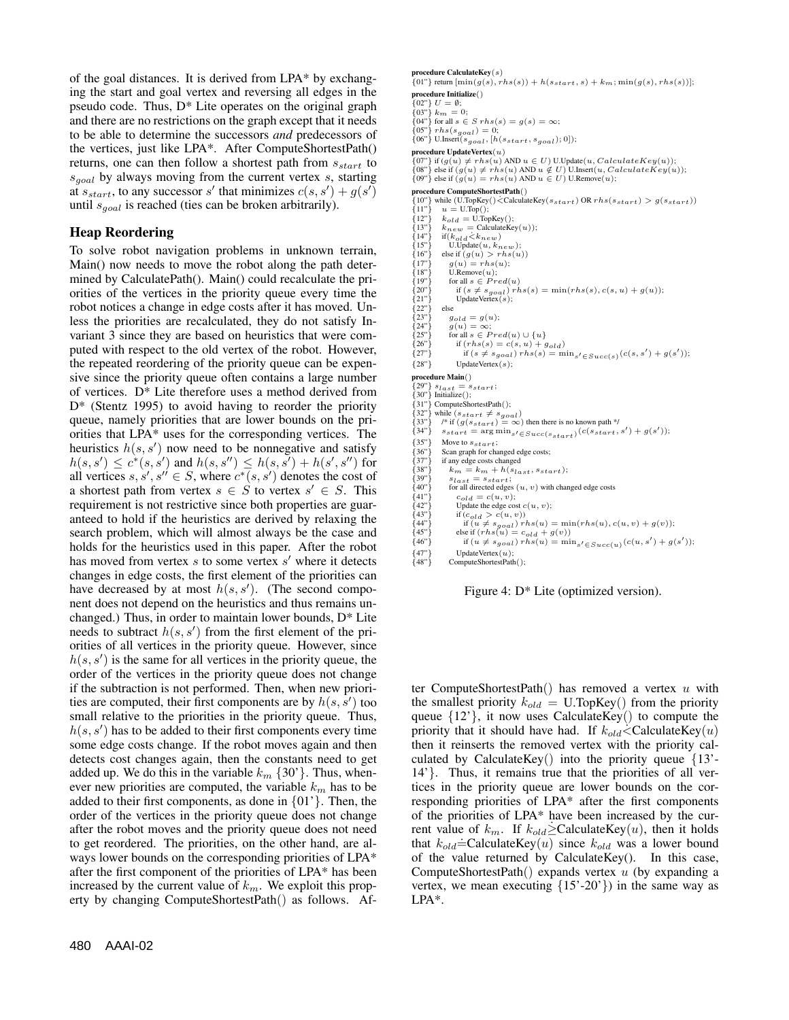of the goal distances. It is derived from LPA\* by exchanging the start and goal vertex and reversing all edges in the pseudo code. Thus, D\* Lite operates on the original graph and there are no restrictions on the graph except that it needs to be able to determine the successors *and* predecessors of the vertices, just like LPA\*. After ComputeShortestPath() returns, one can then follow a shortest path from *sstart* to *sgoal* by always moving from the current vertex *s*, starting at  $s_{start}$ , to any successor *s'* that minimizes  $c(s, s') + g(s')$ until *sgoal* is reached (ties can be broken arbitrarily).

## **Heap Reordering**

To solve robot navigation problems in unknown terrain, Main() now needs to move the robot along the path determined by CalculatePath(). Main() could recalculate the priorities of the vertices in the priority queue every time the robot notices a change in edge costs after it has moved. Unless the priorities are recalculated, they do not satisfy Invariant 3 since they are based on heuristics that were computed with respect to the old vertex of the robot. However, the repeated reordering of the priority queue can be expensive since the priority queue often contains a large number of vertices. D\* Lite therefore uses a method derived from D\* (Stentz 1995) to avoid having to reorder the priority queue, namely priorities that are lower bounds on the priorities that LPA\* uses for the corresponding vertices. The heuristics  $h(s, s')$  now need to be nonnegative and satisfy  $h(s, s') \leq c^*(s, s')$  and  $h(s, s'') \leq h(s, s') + h(s', s'')$  for all vertices  $s, s', s'' \in S$ , where  $c^*(s, s')$  denotes the cost of a shortest path from vertex  $s \in S$  to vertex  $s' \in S$ . This requirement is not restrictive since both properties are guaranteed to hold if the heuristics are derived by relaxing the search problem, which will almost always be the case and holds for the heuristics used in this paper. After the robot has moved from vertex *s* to some vertex *s'* where it detects changes in edge costs, the first element of the priorities can have decreased by at most *h*(*s, s* ). (The second component does not depend on the heuristics and thus remains unchanged.) Thus, in order to maintain lower bounds, D\* Lite needs to subtract *h*(*s, s* ) from the first element of the priorities of all vertices in the priority queue. However, since  $h(s, s')$  is the same for all vertices in the priority queue, the order of the vertices in the priority queue does not change if the subtraction is not performed. Then, when new priorities are computed, their first components are by  $h(s, s')$  too small relative to the priorities in the priority queue. Thus,  $h(s, s')$  has to be added to their first components every time some edge costs change. If the robot moves again and then detects cost changes again, then the constants need to get added up. We do this in the variable  $k_m \{30\}$ . Thus, whenever new priorities are computed, the variable *k<sup>m</sup>* has to be added to their first components, as done in  $\{01\}$ . Then, the order of the vertices in the priority queue does not change after the robot moves and the priority queue does not need to get reordered. The priorities, on the other hand, are always lower bounds on the corresponding priorities of LPA\* after the first component of the priorities of LPA\* has been increased by the current value of *km*. We exploit this property by changing ComputeShortestPath() as follows. Af-

**procedure CalculateKey**(*s*)<br>
{01"} return  $[\min(g(s), rhs(s)) + h(s_{start}, s) + k_m; \min(g(s), rhs(s))]$ ; **procedure Initialize**()<br>{02"}  $U = \emptyset$ ;

 ${02"\} U = \emptyset;$ <br>  ${03"\} k_m = 0;$ <br>  ${04"\}$  for all  $\varepsilon \in$ 

 $\{04"\}$  for all  $s \in S$   $rhs(s) = g(s) = \infty;$ 

 $\{05"\}$  *rhs*( $s_{goal}$ ) = 0;<br>{06"} U.Insert( $s_{goal}$ , [*h*( $s_{start}$ ,  $s_{goal}$ ); 0]);

**procedure UpdateVertex**(*u*)<br>{07"} if  $(g(u) \neq rhs(u)$  AND  $u \in U$ ) U.Update(*u*, *CalculateKey*(*u*));

{07"} if  $(g(u) \neq rhs(u)$  AND  $u \in U$ ) U.Update $(u, CalculateKey(u))$ ;<br>{08"} else if  $(g(u) \neq rhs(u)$  AND  $u \notin U$ ) U.Insert $(u, CalculateKey(u))$ ;<br>{09"} else if  $(g(u) = rhs(u)$  AND  $u \in U$ ) U.Remove $(u)$ ;

**procedure ComputeShortestPath**()<br>{10"} while (U.TopKey()<
CalculateKey( $s_{start}$ ) OR  $rhs(s_{start}) > g(s_{start})$ )

- {11"}  $u = U.\text{Top}();$ <br>
{12"}  $k_{old} = U.\text{TopKey}();$ <br>
{13"}  $k_{new} = \text{CalculateKey}(u));$ <br>
{14"}  $if(k, j, k, \ldots)$
- 
- $\{14"\}$  if( $k_{old} \lt k_{new}$ )<br> $\{15"\}$  U.Update(*u*,  $k_{new}$ )
- {15"} U.Update $(u, k_{new})$ ;<br>{16"} else if  $(g(u) > r h s(u))$
- 
- {17"}  $g(u) = r h s(u);$ <br>{18"} U.Remove(*u*);
- 
- $\{19"\}$  for all  $s \in Pred(u)$ <br> $\{20"\}$  if  $(s \neq s_{good})$  rb {19"} for all  $s \in Pred(u)$ <br>
{20"} if  $(s \neq s_{goal})$  *rhs*(*s*) = min(*rhs*(*s*)*, c*(*s, u*) + *g*(*u*));<br>
{21"} UpdateVertex(*s*);

 $\{22"\}$  else<br> $\{23"\}$  else

- 
- {23"}  $g_{old} = g(u);$ <br>{24"}  $g(u) = \infty;$ <br>{25"} for all  $s \in Pr$
- 
- {25"} for all  $s \in Pred(u) \cup \{u\}$ <br>
{26"} if  $(rhs(s) = c(s, u) + g_{old})$ <br>
{27"} if  $(s \neq s_{goal})$   $rhs(s) = \min_{s' \in Succ(s)} (c(s, s') + g(s'))$ ;
- {28"} UpdateVertex(*s*);

**procedure Main**()

- 
- ${29"\} s_{last} = s_{start};$ <br> ${30"\}$  Initialize();
- {30"} Initialize();<br>{31"} ComputeShortestPath();<br> $\begin{cases} 33$ "} while (s, , , , + s)
- 
- {32"} while ( $s_{start} \neq s_{goal}$ )<br>{33"} /\* if (*g*( $s_{start}$ ) = ∞) then there is no known path \*/<br> $f_{4d}$ "}  $s_{t}$ ,  $f_{t} = s_{start}$  on the start of finite is no known path \*/
- ${33"\}$   $s_{start} = \arg \min_{s'} \epsilon_{Succ}(s_{start}) (c(s_{start}, s') + g(s'));$ <br>{35"} Move to  $s_{start}$ ;
- ${35"\}$  Move to  $s_{start}$ ;<br> ${36"\}$  Scan graph for cha
- ${36"\}$  Scan graph for changed edge costs;<br> ${37"\}$  if any edge costs changed
- {37"} if any edge costs changed<br>{38"}  $k_m = k_m + h(s_{la})$  ${k_m = k_m + h(s_{last}, s_{start})};$ <br>{39"}  $s_{last} = s_{start};$
- ${39"\}$   $s_{last} = s_{start};$ <br> ${40"\}$  for all directed edges
- {40"} for all directed edges  $(u, v)$  with changed edge costs {41"}  $c_{old} = c(u, v)$ ;
- {41"}  $c_{old} = c(u, v);$ <br>{42"} Update the edge co<br>{43"} if  $(c_{old} > c(u, v))$ Update the edge cost  $c(u, v)$ ;
- {43"} if  $(c_{old} > c(u, v))$ <br>{44"} if  $(u \neq s_{goal})$  r
- 
- $\begin{array}{ll} \{44^n\} & \quad \text{if } (u \neq s_{goal}) \; rhs(u) = \min(rhs(u), c(u,v) + g(v)); \\ \{45^n\} & \quad \text{else if } (rhs(u) = c_{old} + g(v)) \\ \{46^n\} & \quad \text{if } (u \neq s_{goal}) \; rhs(u) = \min_{s' \in Succ(u)} (c(u,s') + g(s')); \\ \end{array}$
- 
- {47"} UpdateVertex(*u*);<br>{48"} ComputeShortestPath();

Figure 4: D\* Lite (optimized version).

ter ComputeShortestPath() has removed a vertex *u* with the smallest priority  $k_{old} = U$ . TopKey() from the priority queue  $\{12\}$ , it now uses CalculateKey() to compute the priority that it should have had. If  $k_{old} \leq$ CalculateKey(*u*) then it reinserts the removed vertex with the priority calculated by CalculateKey $()$  into the priority queue  ${13' -$ 14'}. Thus, it remains true that the priorities of all vertices in the priority queue are lower bounds on the corresponding priorities of LPA\* after the first components of the priorities of LPA\* have been increased by the current value of  $k_m$ . If  $k_{old} \geq$  CalculateKey(*u*), then it holds that  $k_{old} \doteq$ CalculateKey(*u*) since  $k_{old}$  was a lower bound of the value returned by CalculateKey(). In this case, ComputeShortestPath() expands vertex *u* (by expanding a vertex, we mean executing  $\{15'$ -20'}) in the same way as LPA\*.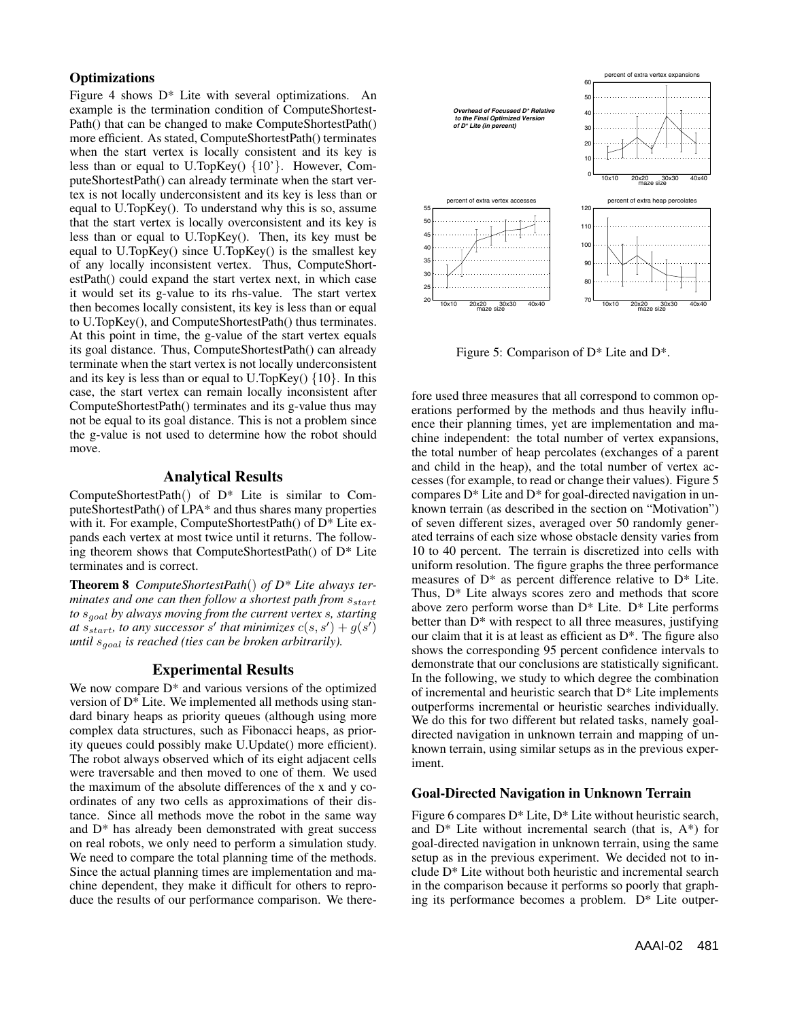## **Optimizations**

Figure 4 shows D\* Lite with several optimizations. An example is the termination condition of ComputeShortest-Path() that can be changed to make ComputeShortestPath() more efficient. As stated, ComputeShortestPath() terminates when the start vertex is locally consistent and its key is less than or equal to U.TopKey() {10'}. However, ComputeShortestPath() can already terminate when the start vertex is not locally underconsistent and its key is less than or equal to U.TopKey(). To understand why this is so, assume that the start vertex is locally overconsistent and its key is less than or equal to U.TopKey(). Then, its key must be equal to U.TopKey() since U.TopKey() is the smallest key of any locally inconsistent vertex. Thus, ComputeShortestPath() could expand the start vertex next, in which case it would set its g-value to its rhs-value. The start vertex then becomes locally consistent, its key is less than or equal to U.TopKey(), and ComputeShortestPath() thus terminates. At this point in time, the g-value of the start vertex equals its goal distance. Thus, ComputeShortestPath() can already terminate when the start vertex is not locally underconsistent and its key is less than or equal to U.TopKey()  $\{10\}$ . In this case, the start vertex can remain locally inconsistent after ComputeShortestPath() terminates and its g-value thus may not be equal to its goal distance. This is not a problem since the g-value is not used to determine how the robot should move.

## **Analytical Results**

ComputeShortestPath() of D\* Lite is similar to ComputeShortestPath() of LPA\* and thus shares many properties with it. For example, ComputeShortestPath() of  $D^*$  Lite expands each vertex at most twice until it returns. The following theorem shows that ComputeShortestPath $()$  of  $D^*$  Lite terminates and is correct.

**Theorem 8** *ComputeShortestPath*() *of D\* Lite always terminates and one can then follow a shortest path from sstart to sgoal by always moving from the current vertex s, starting at*  $s_{start}$ *, to any successor s' that minimizes*  $c(s, s') + g(s')$ *until sgoal is reached (ties can be broken arbitrarily).*

## **Experimental Results**

We now compare  $D^*$  and various versions of the optimized version of D\* Lite. We implemented all methods using standard binary heaps as priority queues (although using more complex data structures, such as Fibonacci heaps, as priority queues could possibly make U.Update() more efficient). The robot always observed which of its eight adjacent cells were traversable and then moved to one of them. We used the maximum of the absolute differences of the x and y coordinates of any two cells as approximations of their distance. Since all methods move the robot in the same way and D\* has already been demonstrated with great success on real robots, we only need to perform a simulation study. We need to compare the total planning time of the methods. Since the actual planning times are implementation and machine dependent, they make it difficult for others to reproduce the results of our performance comparison. We there-



Figure 5: Comparison of D\* Lite and D\*.

fore used three measures that all correspond to common operations performed by the methods and thus heavily influence their planning times, yet are implementation and machine independent: the total number of vertex expansions, the total number of heap percolates (exchanges of a parent and child in the heap), and the total number of vertex accesses (for example, to read or change their values). Figure 5 compares D\* Lite and D\* for goal-directed navigation in unknown terrain (as described in the section on "Motivation") of seven different sizes, averaged over 50 randomly generated terrains of each size whose obstacle density varies from 10 to 40 percent. The terrain is discretized into cells with uniform resolution. The figure graphs the three performance measures of D\* as percent difference relative to D\* Lite. Thus, D\* Lite always scores zero and methods that score above zero perform worse than  $D^*$  Lite.  $D^*$  Lite performs better than  $D^*$  with respect to all three measures, justifying our claim that it is at least as efficient as D\*. The figure also shows the corresponding 95 percent confidence intervals to demonstrate that our conclusions are statistically significant. In the following, we study to which degree the combination of incremental and heuristic search that D\* Lite implements outperforms incremental or heuristic searches individually. We do this for two different but related tasks, namely goaldirected navigation in unknown terrain and mapping of unknown terrain, using similar setups as in the previous experiment.

#### **Goal-Directed Navigation in Unknown Terrain**

Figure 6 compares  $D^*$  Lite,  $D^*$  Lite without heuristic search, and  $D^*$  Lite without incremental search (that is,  $A^*$ ) for goal-directed navigation in unknown terrain, using the same setup as in the previous experiment. We decided not to include D\* Lite without both heuristic and incremental search in the comparison because it performs so poorly that graphing its performance becomes a problem. D\* Lite outper-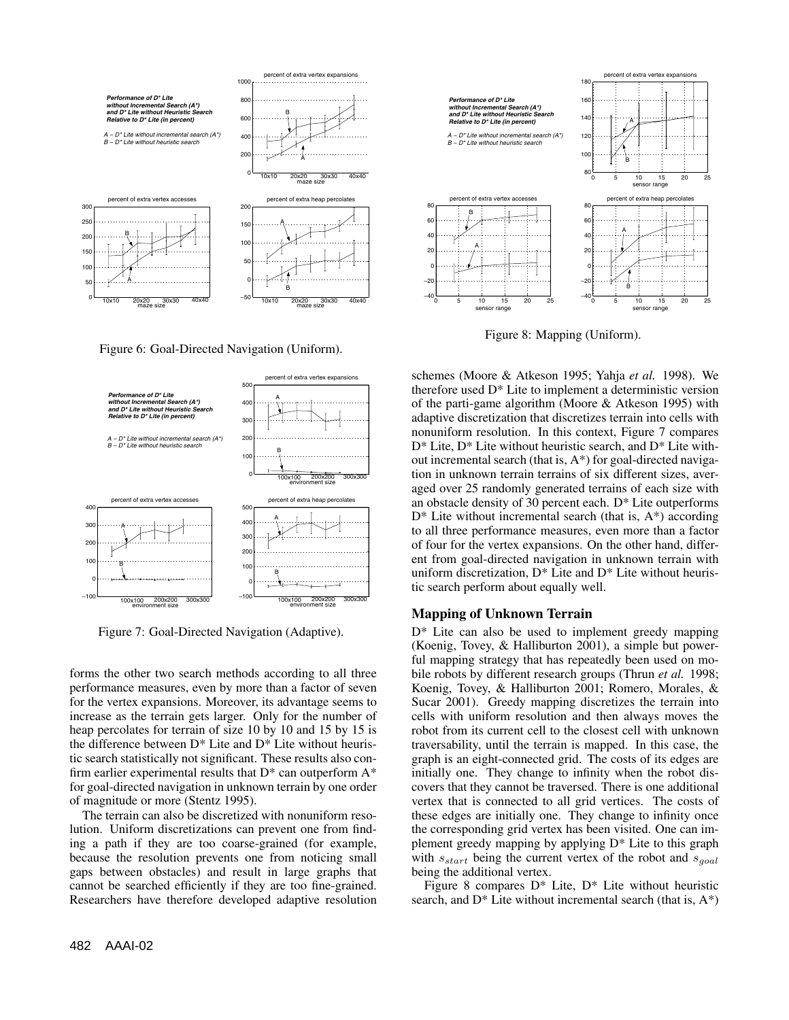

Figure 6: Goal-Directed Navigation (Uniform).



Figure 7: Goal-Directed Navigation (Adaptive).

forms the other two search methods according to all three performance measures, even by more than a factor of seven for the vertex expansions. Moreover, its advantage seems to increase as the terrain gets larger. Only for the number of heap percolates for terrain of size 10 by 10 and 15 by 15 is the difference between  $D^*$  Lite and  $D^*$  Lite without heuristic search statistically not significant. These results also confirm earlier experimental results that  $D^*$  can outperform  $A^*$ for goal-directed navigation in unknown terrain by one order of magnitude or more (Stentz 1995).

The terrain can also be discretized with nonuniform resolution. Uniform discretizations can prevent one from finding a path if they are too coarse-grained (for example, because the resolution prevents one from noticing small gaps between obstacles) and result in large graphs that cannot be searched efficiently if they are too fine-grained. Researchers have therefore developed adaptive resolution



Figure 8: Mapping (Uniform).

schemes (Moore & Atkeson 1995; Yahja *et al.* 1998). We therefore used D\* Lite to implement a deterministic version of the parti-game algorithm (Moore & Atkeson 1995) with adaptive discretization that discretizes terrain into cells with nonuniform resolution. In this context, Figure 7 compares D\* Lite, D\* Lite without heuristic search, and D\* Lite without incremental search (that is, A\*) for goal-directed navigation in unknown terrain terrains of six different sizes, averaged over 25 randomly generated terrains of each size with an obstacle density of 30 percent each. D\* Lite outperforms  $D^*$  Lite without incremental search (that is,  $A^*$ ) according to all three performance measures, even more than a factor of four for the vertex expansions. On the other hand, different from goal-directed navigation in unknown terrain with uniform discretization,  $D^*$  Lite and  $D^*$  Lite without heuristic search perform about equally well.

#### **Mapping of Unknown Terrain**

D\* Lite can also be used to implement greedy mapping (Koenig, Tovey, & Halliburton 2001), a simple but powerful mapping strategy that has repeatedly been used on mobile robots by different research groups (Thrun *et al.* 1998; Koenig, Tovey, & Halliburton 2001; Romero, Morales, & Sucar 2001). Greedy mapping discretizes the terrain into cells with uniform resolution and then always moves the robot from its current cell to the closest cell with unknown traversability, until the terrain is mapped. In this case, the graph is an eight-connected grid. The costs of its edges are initially one. They change to infinity when the robot discovers that they cannot be traversed. There is one additional vertex that is connected to all grid vertices. The costs of these edges are initially one. They change to infinity once the corresponding grid vertex has been visited. One can implement greedy mapping by applying D\* Lite to this graph with *sstart* being the current vertex of the robot and *sgoal* being the additional vertex.

Figure 8 compares  $D^*$  Lite,  $D^*$  Lite without heuristic search, and  $D^*$  Lite without incremental search (that is,  $A^*$ )